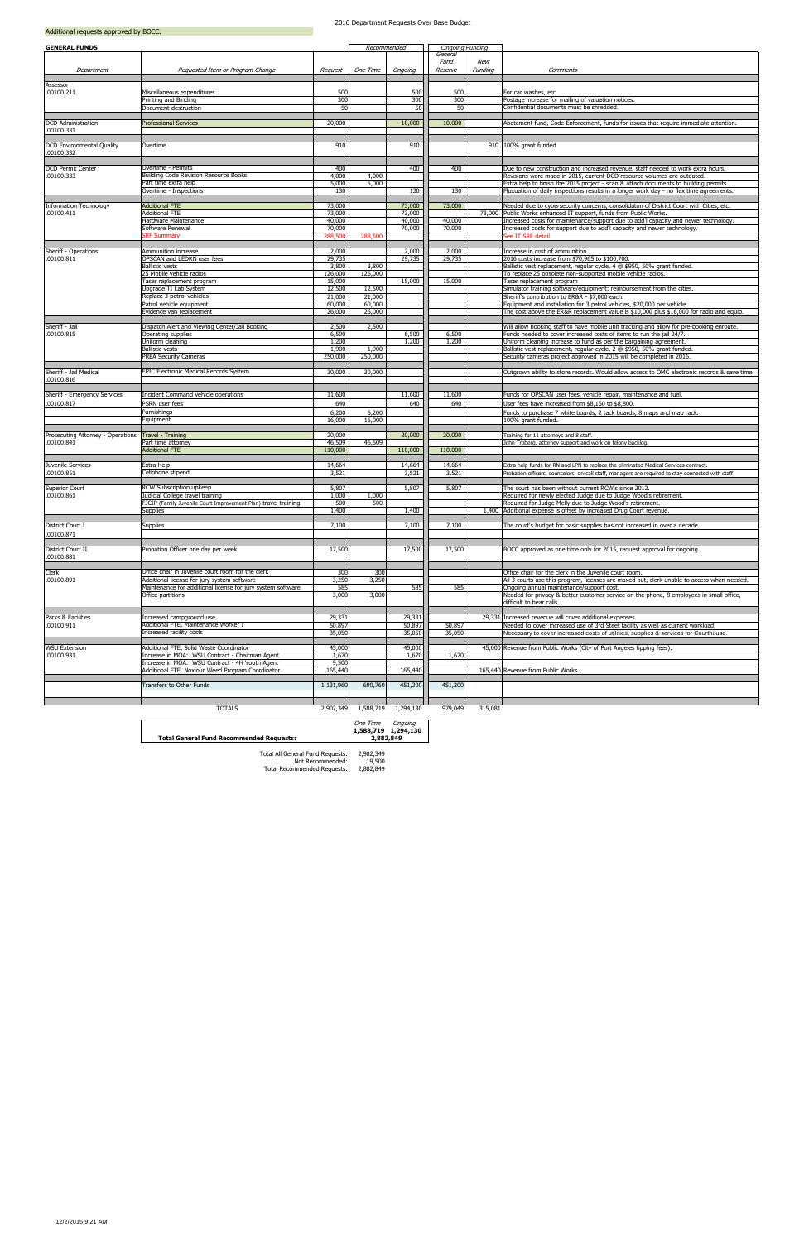| <b>GENERAL FUNDS</b>                       |                                                                                           |                   | Recommended      |                  | <b>Ongoing Funding</b>     |                |                                                                                                                                                                     |
|--------------------------------------------|-------------------------------------------------------------------------------------------|-------------------|------------------|------------------|----------------------------|----------------|---------------------------------------------------------------------------------------------------------------------------------------------------------------------|
| Department                                 | Requested Item or Program Change                                                          | Request           | One Time         | Ongoing          | General<br>Fund<br>Reserve | New<br>Funding | Comments                                                                                                                                                            |
| Assessor                                   |                                                                                           |                   |                  |                  |                            |                |                                                                                                                                                                     |
| .00100.211                                 | Miscellaneous expenditures                                                                | 500               |                  | 500              | 500                        |                | For car washes, etc.                                                                                                                                                |
|                                            | Printing and Binding<br>Document destruction                                              | 300<br>50         |                  | 300<br>50        | 300<br>50                  |                | Postage increase for mailing of valuation notices.<br>Confidential documents must be shredded.                                                                      |
|                                            |                                                                                           |                   |                  |                  |                            |                |                                                                                                                                                                     |
| <b>DCD</b> Administration                  | <b>Professional Services</b>                                                              | 20,000            |                  | 10,000           | 10,000                     |                | Abatement fund, Code Enforcement, funds for issues that require immediate attention.                                                                                |
| .00100.331                                 |                                                                                           |                   |                  |                  |                            |                |                                                                                                                                                                     |
| DCD Environmental Quality<br>.00100.332    | Overtime                                                                                  | 910               |                  | 910              |                            |                | 910 100% grant funded                                                                                                                                               |
| <b>DCD Permit Center</b>                   | Overtime - Permits                                                                        | 400               |                  | 400              | 400                        |                | Due to new construction and increased revenue, staff needed to work extra hours.                                                                                    |
| .00100.333                                 | Building Code Revision Resource Books                                                     | 4,000             | 4,000            |                  |                            |                | Revisions were made in 2015, current DCD resource volumes are outdated.                                                                                             |
|                                            | Part time extra help                                                                      | 5,000             | 5,000            |                  |                            |                | Extra help to finish the 2015 project - scan & attach documents to building permits.                                                                                |
|                                            | Overtime - Inspections                                                                    | 130               |                  | 130              | 130                        |                | Fluxuation of daily inspections results in a longer work day - no flex time agreements.                                                                             |
| <b>Information Technology</b>              | <b>Additional FTE</b>                                                                     | 73,000            |                  | 73,000           | 73,000                     |                | Needed due to cybersecurity concerns, consolidaton of District Court with Cities, etc.                                                                              |
| .00100.411                                 | <b>Additional FTE</b>                                                                     | 73,000            |                  | 73,000           |                            |                | 73,000 Public Works enhanced IT support, funds from Public Works.                                                                                                   |
|                                            | Hardware Maintenance<br>Software Renewal                                                  | 40,000<br>70,000  |                  | 40,000<br>70,000 | 40,000<br>70,000           |                | Increased costs for maintenance/support due to add'l capacity and newer technology.<br>Increased costs for support due to add'l capacity and newer technology.      |
|                                            | <b>RF</b> Summary                                                                         | 288,500           | 288,500          |                  |                            |                | See IT SRF detail                                                                                                                                                   |
| Sheriff - Operations                       | Ammunition increase                                                                       | 2,000             |                  | 2,000            | 2,000                      |                | Increase in cost of ammunition.                                                                                                                                     |
| .00100.811                                 | OPSCAN and LEDRN user fees                                                                | 29,735            |                  | 29,735           | 29,735                     |                | 2016 costs increase from \$70,965 to \$100,700.                                                                                                                     |
|                                            | <b>Ballistic vests</b>                                                                    | 3,800             | 3,800            |                  |                            |                | Ballistic vest replacement, regular cycle, 4 @ \$950, 50% grant funded.                                                                                             |
|                                            | 25 Mobile vehicle radios<br>Taser replacement program                                     | 126,000<br>15,000 | 126,000          | 15,000           | 15,000                     |                | To replace 25 obsolete non-supported mobile vehicle radios.<br>Taser replacement program                                                                            |
|                                            | Upgrade TI Lab System                                                                     | 12,500            | 12,500           |                  |                            |                | Simulator training software/equipment; reimbursement from the cities.                                                                                               |
|                                            | Replace 3 patrol vehicles                                                                 | 21,000            | 21,000           |                  |                            |                | Sheriff's contribution to ER&R - \$7,000 each.                                                                                                                      |
|                                            | Patrol vehicle equipment<br>Evidence van replacement                                      | 60,000<br>26,000  | 60,000<br>26,000 |                  |                            |                | Equipment and installation for 3 patrol vehicles, \$20,000 per vehicle.<br>The cost above the ER&R replacement value is \$10,000 plus \$16,000 for radio and equip. |
|                                            |                                                                                           |                   |                  |                  |                            |                |                                                                                                                                                                     |
| Sheriff - Jail                             | Dispatch Alert and Viewing Center/Jail Booking<br>Operating supplies                      | 2,500<br>6,500    | 2,500            |                  |                            |                | Will allow booking staff to have mobile unit tracking and allow for pre-booking enroute.                                                                            |
| .00100.815                                 | Uniform cleaning                                                                          | 1,200             |                  | 6,500<br>1,200   | 6,500<br>1,200             |                | Funds needed to cover increased costs of items to run the jail 24/7.<br>Uniform cleaning increase to fund as per the bargaining agreement.                          |
|                                            | <b>Ballistic vests</b>                                                                    | 1,900             | 1,900            |                  |                            |                | Ballistic vest replacement, regular cycle, 2 @ \$950, 50% grant funded.                                                                                             |
|                                            | <b>PREA Security Cameras</b>                                                              | 250,000           | 250,000          |                  |                            |                | Security cameras project approved in 2015 will be completed in 2016.                                                                                                |
| Sheriff - Jail Medical                     | EPIC Electronic Medical Records System                                                    | 30,000            | 30,000           |                  |                            |                | Outgrown ability to store records. Would allow access to OMC electronic records & save time.                                                                        |
| .00100.816                                 |                                                                                           |                   |                  |                  |                            |                |                                                                                                                                                                     |
| Sheriff - Emergency Services<br>.00100.817 | Incident Command vehicle operations<br>PSRN user fees                                     | 11,600<br>640     |                  | 11,600<br>640    | 11,600<br>640              |                | Funds for OPSCAN user fees, vehicle repair, maintenance and fuel.<br>User fees have increased from \$8,160 to \$8,800.                                              |
|                                            | Furnishings                                                                               | 6,200             | 6,200            |                  |                            |                | Funds to purchase 7 white boards, 2 tack boards, 8 maps and map rack.                                                                                               |
|                                            | Equipment                                                                                 | 16,000            | 16,000           |                  |                            |                | 100% grant funded.                                                                                                                                                  |
| Prosecuting Attorney - Operations          | <b>Travel - Training</b>                                                                  | 20,000            |                  | 20,000           | 20,000                     |                | Training for 11 attorneys and 8 staff.                                                                                                                              |
| .00100.841                                 | Part time attorney                                                                        | 46,509            | 46,509           |                  |                            |                | John Troberg, attorney support and work on felony backlog.                                                                                                          |
|                                            | <b>Additional FTE</b>                                                                     | 110,000           |                  | 110,000          | 110,000                    |                |                                                                                                                                                                     |
| Juvenile Services                          | Extra Help                                                                                | 14,664            |                  | 14,664           | 14,664                     |                | Extra help funds for RN and LPN to replace the eliminated Medical Services contract.                                                                                |
| .00100.851                                 | Cellphone stipend                                                                         | 3,521             |                  | 3,521            | 3,521                      |                | Probation officers, counselors, on-call staff, managers are required to stay connected with staff.                                                                  |
| Superior Court                             | RCW Subscription upkeep                                                                   | 5,807             |                  | 5,807            | 5,807                      |                | The court has been without current RCW's since 2012.                                                                                                                |
| .00100.861                                 | Judicial College travel training                                                          | 1.000             | 1.000            |                  |                            |                | Required for newly elected Judge due to Judge Wood's retirement.                                                                                                    |
|                                            | FJCIP (Family Juvenile Court Improvement Plan) travel training<br>Supplies                | 500<br>1,400      | 500              | 1,400            |                            |                | Required for Judge Melly due to Judge Wood's retirement.<br>1,400 Additional expense is offset by increased Drug Court revenue.                                     |
|                                            |                                                                                           |                   |                  |                  |                            |                |                                                                                                                                                                     |
| District Court I                           | Supplies                                                                                  | 7,100             |                  | 7,100            | 7,100                      |                | The court's budget for basic supplies has not increased in over a decade.                                                                                           |
| .00100.871                                 |                                                                                           |                   |                  |                  |                            |                |                                                                                                                                                                     |
| District Court II<br>.00100.881            | Probation Officer one day per week                                                        | 17,500            |                  | 17,500           | 17,500                     |                | BOCC approved as one time only for 2015, request approval for ongoing.                                                                                              |
| Clerk                                      | Office chair in Juvenile court room for the clerk                                         | 300               | 300              |                  |                            |                | Office chair for the clerk in the Juvenile court room.                                                                                                              |
| .00100.891                                 | Additional license for jury system software                                               | 3,250             | 3,250            |                  |                            |                | All 3 courts use this program, licenses are maxed out, clerk unable to access when needed.                                                                          |
|                                            | Maintenance for additional license for jury system software                               | 585               |                  | 585              | 585                        |                | Ongoing annual maintenance/support cost.                                                                                                                            |
|                                            | Office partitions                                                                         | 3,000             | 3,000            |                  |                            |                | Needed for privacy & better customer service on the phone, 8 employees in small office,<br>difficult to hear calls.                                                 |
|                                            |                                                                                           |                   |                  |                  |                            |                |                                                                                                                                                                     |
| Parks & Facilities<br>.00100.911           | Increased campground use<br>Additional FTE, Maintenance Worker I                          | 29,331<br>50,897  |                  | 29,331<br>50,897 | 50,897                     |                | 29,331 Increased revenue will cover additional expenses.<br>Needed to cover increased use of 3rd Steet facility as well as current workload.                        |
|                                            | Increased facility costs                                                                  | 35,050            |                  | 35,050           | 35,050                     |                | Necessary to cover increased costs of utilities, supplies & services for Courthouse.                                                                                |
|                                            |                                                                                           |                   |                  |                  |                            |                |                                                                                                                                                                     |
| <b>WSU Extension</b><br>.00100.931         | Additional FTE, Solid Waste Coordinator<br>Increase in MOA: WSU Contract - Chairman Agent | 45,000<br>1,670   |                  | 45,000<br>1,670  | 1,670                      |                | 45,000 Revenue from Public Works (City of Port Angeles tipping fees).                                                                                               |
|                                            | Increase in MOA: WSU Contract - 4H Youth Agent                                            | 9,500             |                  |                  |                            |                |                                                                                                                                                                     |
|                                            | Additional FTE, Noxiour Weed Program Coordinator                                          | 165,440           |                  | 165,440          |                            |                | 165,440 Revenue from Public Works.                                                                                                                                  |
|                                            | Transfers to Other Funds                                                                  | 1,131,960         | 680,760          | 451,200          | 451,200                    |                |                                                                                                                                                                     |
|                                            |                                                                                           |                   |                  |                  |                            |                |                                                                                                                                                                     |
|                                            | <b>TOTALS</b>                                                                             | 2,902,349         | 1,588,719        | 1,294,130        | 979,049                    | 315,081        |                                                                                                                                                                     |

## **Total General Fund Recommended Requests:**

One Time Ongoing **1,588,719 1,294,130 2,882,849**

## 2016 Department Requests Over Base Budget

2,902,349 19,500 2,882,849 Total Recommended Requests: Not Recommended: Total All General Fund Requests: